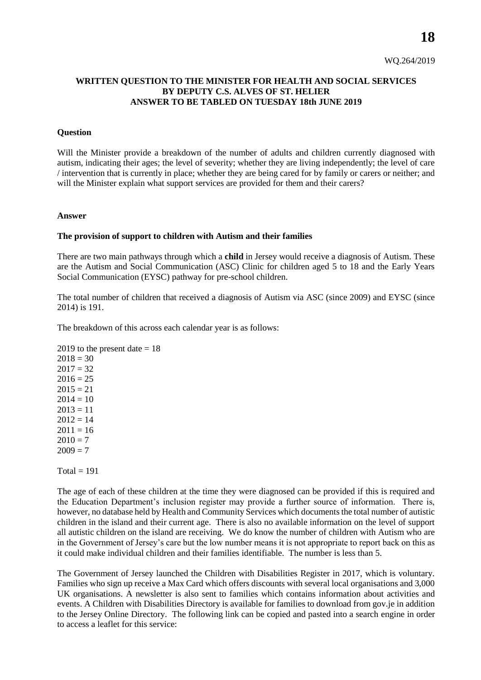WQ.264/2019

# **WRITTEN QUESTION TO THE MINISTER FOR HEALTH AND SOCIAL SERVICES BY DEPUTY C.S. ALVES OF ST. HELIER ANSWER TO BE TABLED ON TUESDAY 18th JUNE 2019**

### **Question**

Will the Minister provide a breakdown of the number of adults and children currently diagnosed with autism, indicating their ages; the level of severity; whether they are living independently; the level of care / intervention that is currently in place; whether they are being cared for by family or carers or neither; and will the Minister explain what support services are provided for them and their carers?

#### **Answer**

## **The provision of support to children with Autism and their families**

There are two main pathways through which a **child** in Jersey would receive a diagnosis of Autism. These are the Autism and Social Communication (ASC) Clinic for children aged 5 to 18 and the Early Years Social Communication (EYSC) pathway for pre-school children.

The total number of children that received a diagnosis of Autism via ASC (since 2009) and EYSC (since 2014) is 191.

The breakdown of this across each calendar year is as follows:

```
2019 to the present date = 182018 = 302017 = 322016 = 252015 = 212014 = 102013 = 112012 = 142011 = 162010 = 72009 = 7
```
 $Total = 191$ 

The age of each of these children at the time they were diagnosed can be provided if this is required and the Education Department's inclusion register may provide a further source of information. There is, however, no database held by Health and Community Services which documents the total number of autistic children in the island and their current age. There is also no available information on the level of support all autistic children on the island are receiving. We do know the number of children with Autism who are in the Government of Jersey's care but the low number means it is not appropriate to report back on this as it could make individual children and their families identifiable. The number is less than 5.

The Government of Jersey launched the Children with Disabilities Register in 2017, which is voluntary. Families who sign up receive a Max Card which offers discounts with several local organisations and 3,000 UK organisations. A newsletter is also sent to families which contains information about activities and events. A Children with Disabilities Directory is available for families to download from gov.je in addition to the Jersey Online Directory. The following link can be copied and pasted into a search engine in order to access a leaflet for this service: